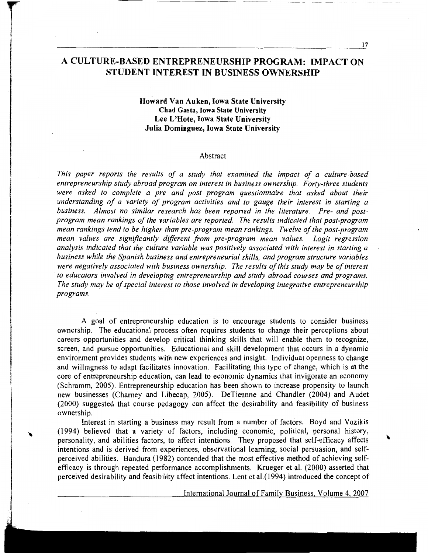## A CULTURE-BASED ENTREPRENEURSHIP PROGRAM: IMPACT ON STUDENT INTEREST IN BUSINESS OWNERSHIP

## Howard VanAuken, Iowa State University Chad Gasta, Iowa State University Lee L'Hote, Iowa State University Julia Dominguez, Iowa State University

#### Abstract

*This paper reports the results of a study that examined the impact of a culture-based entrepreneurship study abroad program on interest in business ownership. Forty-three students*  were asked to complete a pre and post program questionnaire that asked about their *understanding of a variety of program activities and to gauge their interest in starting a business. Almost no similar research has been reported in the literature. Pre- and postprogram mean rankings of the variables are reported The results indicated that post-program mean rankings tend to be higher than pre-program mean rankings. Twelve of the post-program mean values are significantly different from pre-program mean values. Logit regression analysis indicated that the culture variable was positively associated with interest in starting a business while the Spanish business and entrepreneurial skills, and program structure variables were negatively associated with business ownership. The results of this study may be of interest to educators involved in developing entrepreneurship and study abroad courses and programs. The study may be of special interest to those involved in developing integrative entrepreneurship programs.* 

A goal of entrepreneurship education is to encourage students to consider business ownership. The educational process often requires students to change their perceptions about careers opportunities and develop critical thinking skills that will enable them to recognize, screen, and pursue opportunities. Educational and skill development that occurs in a dynamic environment provides students with new experiences and insight. Individual openness to change and willingness to adapt facilitates innovation. Facilitating this type of change, which is at the core of entrepreneurship education, can lead to economic dynamics that invigorate an economy (Schramm, 2005). Entrepreneurship education has been shown to increase propensity to launch new businesses (Charney and Libecap, 2005). DeTiennne and Chandler (2004) and Audet (2000) suggested that course pedagogy can affect the desirability and feasibility of business ownership.

Interest in starting a business may result from a number of factors. Boyd and Vozikis (1994) believed that a variety of factors, including economic, political, personal history, personality, and abilities factors, to affect intentions. They proposed that self-efficacy affects intentions and is derived from experiences, observational learning, social persuasion, and selfperceived abilities. Bandura (1982) contended that the most effective method of achieving selfefficacy is through repeated performance accomplishments. Krueger et al. (2000) asserted that perceived desirability and feasibility affect intentions. Lent et al.(1994) introduced the concept of

International Journal of Family Business, Volume 4, 2007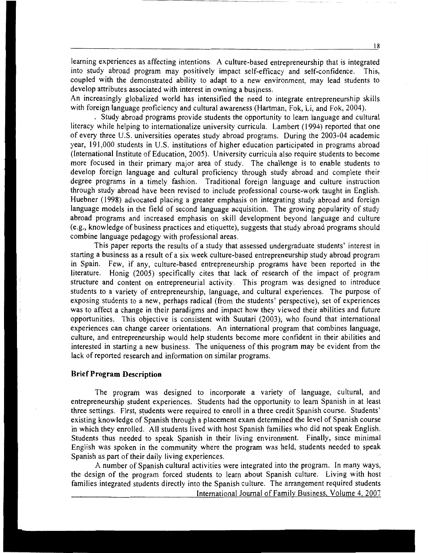learning experiences as affecting intentions. A culture-based entrepreneurship that is integrated into study abroad program may positively impact self-efficacy and self-confidence. This, coupled with the demonstrated ability to adapt to a new environment, may lead students to develop attributes associated with interest in owning a business.

An increasingly globalized world has intensified the need to integrate entrepreneurship skills with foreign language proficiency and cultural awareness (Hartman, Fok, Li, and Fok, 2004).

. Study abroad programs provide students the opportunity to learn language and cultural literacy while helping to internationalize university curricula. Lambert (1994) reported that one of every three U.S. universities operates study abroad programs. During the 2003-04 academic year, 191,000 students in U.S. institutions of higher education participated in programs abroad (International Institute of Education, 2005). University curricula also require students to become more focused in their primary major area of study. The challenge is to enable students to develop foreign language and cultural proficiency through study abroad and complete their degree programs in a timely fashion. Traditional foreign language and culture instruction through study abroad have been revised to include professional course-work taught in English. Huebner (1998) advocated placing a greater emphasis on integrating study abroad and foreign language models in the field of second language acquisition. The growing popularity of study abroad programs and increased emphasis on skill development beyond language and culture (e.g., knowledge of business practices and etiquette), suggests that study abroad programs should combine language pedagogy with professional areas.

This paper reports the results of a study that assessed undergraduate students' interest in starting a business as a result of a six week culture-based entrepreneurship study abroad program in Spain. Few, if any, culture-based entrepreneurship programs have been reported in the literature. Honig (2005) specifically cites that lack of research of the impact of program structure and content on entrepreneurial activity. This program was designed to introduce students to a variety of entrepreneurship, language, and cultural experiences. The purpose of exposing students to a new, perhaps radical (from the students' perspective), set of experiences was to affect a change in their paradigms and impact how they viewed their abilities and future opportunities. This objective is consistent with Suutari (2003), who found that international experiences can change career orientations. An international program that combines language, culture, and entrepreneurship would help students become more confident in their abilities and interested in starting a new business. The uniqueness of this program may be evident from the lack of reported research and information on similar programs.

## **Brief Program Description**

The program was designed to incorporate a variety of language, cultural, and entrepreneurship student experiences. Students had the opportunity to learn Spanish in at least three settings. First, students were required to enroll in a three credit Spanish course. Students' existing knowledge of Spanish through a placement exam determined the level of Spanish course in which they enrolled. All students lived with host Spanish families who did not speak English. Students thus needed to speak Spanish in their living environment. Finally, since minimal English was spoken in the community where the program was held, students needed to speak Spanish as part of their daily living experiences.

A number of Spanish cultural activities were integrated into the program. In many ways, the design of the program forced students to learn about Spanish culture. Living with host families integrated students directly into the Spanish culture. The arrangement required students International Journal of Family Business, Volume 4, 2007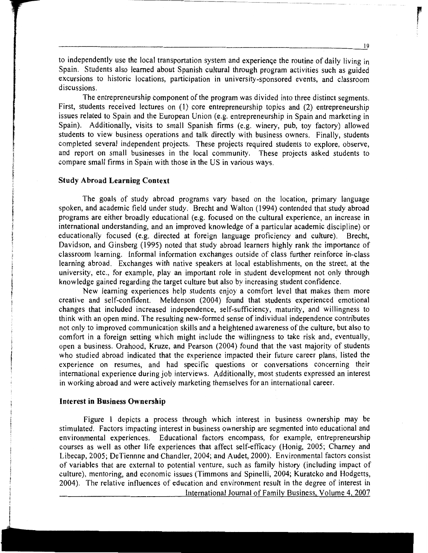to independently use the local transportation system and experience the routine of daily living in Spain. Students also learned about Spanish cultural through program activities such as guided excursions to historic locations, participation in university-sponsored events, and classroom discussions.

The entrepreneurship component of the program was divided into three distinct segments. First, students received lectures on (1) core entrepreneurship topics and (2) entrepreneurship issues related to Spain and the European Union (e.g. entrepreneurship in Spain and marketing in Spain). Additionally, visits to small Spanish firms (e.g. winery, pub, toy factory) allowed students to view business operations and talk directly with business owners. Finally, students completed several independent projects. These projects required students to explore, observe, and report on small businesses in the local community. These projects asked students to compare small firms in Spain with those in the US in various ways.

#### **Study Abroad Learning Context**

The goals of study abroad programs vary based on the location, primary language spoken, and academic field under study. Brecht and Walton (1994) contended that study abroad programs are either broadly educational (e.g. focused on the cultural experience, an increase in international understanding, and an improved knowledge of a particular academic discipline) or educationally focused (e.g. directed at foreign language proficiency and culture). Brecht, Davidson, and Ginsberg (1995) noted that study abroad learners highly rank the importance of classroom learning. Informal information exchanges outside of class further reinforce in-class learning abroad. Exchanges with native speakers at local establishments, on the street, at the university, etc., for example, play an important role in student development not only through knowledge gained regarding the target culture but also by increasing student confidence.

New learning experiences help students enjoy a comfort level that makes them more creative and self-confident. Meldenson (2004) found that students experienced emotional changes that included increased independence, self-sufficiency, maturity, and willingness to think with an open mind. The resulting new-formed sense of individual independence contributes not only to improved communication skills and a heightened awareness of the culture, but also to comfort in a foreign setting which might include the willingness to take risk and, eventually, open a business. Orahood, Kruze, and Pearson (2004) found that the vast majority of students who studied abroad indicated that the experience impacted their future career plans, listed the experience on resumes, and had specific questions or conversations concerning their international experience during job interviews. Additionally, most students expressed an interest in working abroad and were actively marketing themselves for an international career.

## **Interest in Business Ownership**

Figure **1** depicts a process through which interest in business ownership may be stimulated. Factors impacting interest in business ownership are segmented into educational and environmental experiences. Educational factors encompass, for example, entrepreneurship courses as well as other life experiences that affect self-efficacy (Honig, 2005; Charney and Libecap, 2005; DeTiennne and Chandler, 2004; and Audet, 2000). Environmental factors consist of variables that are external to potential venture, such as family history (including impact of culture), mentoring, and economic issues (Timmons and Spinelli, 2004; Kuratcko and Hodgetts, 2004). The relative influences of education and environment result in the degree of interest in International Journal of Family Business, Volume 4, 2007

reception of the contract of the contract of the contract of the contract of the contract of the contract of the contract of the contract of the contract of the contract of the contract of the contract of the contract of t '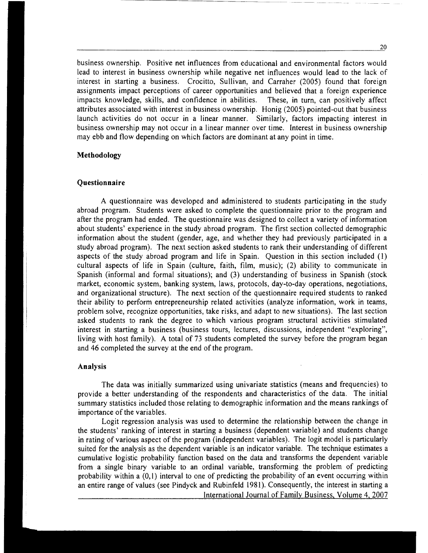business ownership. Positive net influences from educational and environmental factors would lead to interest in business ownership while negative net influences would lead to the lack of interest in starting a business. Crocitto, Sullivan, and Carraher (2005) found that foreign assignments impact perceptions of career opportunities and believed that a foreign experience impacts knowledge, skills, and confidence in abilities. These, in turn, can positively affect attributes associated with interest in business ownership. Honig (2005) pointed-out that business launch activities do not occur in a linear manner. Similarly, factors impacting interest in business ownership may not occur in a linear manner over time. Interest in business ownership may ebb and flow depending on which factors are dominant at any point in time.

## **Methodology**

## **Questionnaire**

A questionnaire was developed and administered to students participating in the study abroad program. Students were asked to complete the questionnaire prior to the program and after the program had ended. The questionnaire was designed to collect a variety of information about students' experience in the study abroad program. The first section collected demographic information about the student (gender, age, and whether they had previously participated in a study abroad program). The next section asked students to rank their understanding of different aspects of the study abroad program and life in Spain. Question in this section included  $(1)$ cultural aspects of life in Spain (culture, faith, film, music); (2) ability to communicate in Spanish (informal and formal situations); and (3) understanding of business in Spanish (stock market, economic system, banking system, laws, protocols, day-to-day operations, negotiations, and organizational structure). The next section of the questionnaire required students to ranked their ability to perform entrepreneurship related activities (analyze information, work in teams, problem solve, recognize opportunities, take risks, and adapt to new situations). The last section asked students to rank the degree to which various program structural activities stimulated interest in starting a business (business tours, lectures, discussions, independent "exploring", living with host family). A total of 73 students completed the survey before the program began and 46 completed the survey at the end of the program.

## **Analysis**

The data was initially summarized using univariate statistics (means and frequencies) to provide a better understanding of the respondents and characteristics of the data. The initial summary statistics included those relating to demographic information and the means rankings of importance of the variables.

Logit regression analysis was used to determine the relationship between the change in the students' ranking of interest in starting a business (dependent variable) and students change in rating of various aspect of the program (independent variables). The logit model is particularly suited for the analysis as the dependent variable is an indicator variable. The technique estimates a cumulative logistic probability function based on the data and transforms the dependent variable from a single binary variable to an ordinal variable, transforming the problem of predicting probability within a (0,1) interval to one of predicting the probability of an event occurring within an entire range of values (see Pindyck and Rubinfeld 1981). Consequently, the interest in starting a International Journal of Family Business, Volume 4, 2007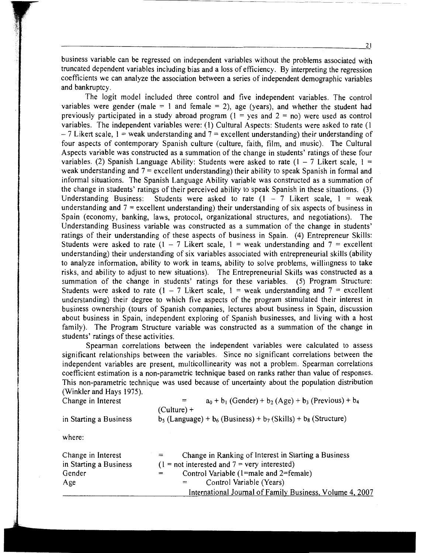21

business variable can be regressed on independent variables without the problems associated with truncated dependent variables including bias and a loss of efficiency. By interpreting the regression coefficients we can analyze the association between a series of independent demographic variables and bankruptcy.

---------------------------

The logit model included three control and five independent variables. The control variables were gender (male = 1 and female = 2), age (years), and whether the student had previously participated in a study abroad program  $(1 = y \cos \theta)$  were used as control variables. The independent variables were: (1) Cultural Aspects: Students were asked to rate (1  $-7$  Likert scale, 1 = weak understanding and  $7$  = excellent understanding) their understanding of four aspects of contemporary Spanish culture (culture, faith, film, and music). The Cultural Aspects variable was constructed as a summation of the change in students' ratings of these four variables. (2) Spanish Language Ability: Students were asked to rate  $(1 - 7)$  Likert scale,  $1 =$ weak understanding and  $7 =$  excellent understanding) their ability to speak Spanish in formal and informal situations. The Spanish Language Ability variable was constructed as a summation of the change in students' ratings of their perceived ability to speak Spanish in these situations. (3) Understanding Business: Students were asked to rate  $(1 - 7)$  Likert scale,  $1 =$  weak understanding and  $7 =$  excellent understanding) their understanding of six aspects of business in Spain (economy, banking, laws, protocol, organizational structures, and negotiations). The Understanding Business variable was constructed as a summation of the change in students' ratings of their understanding of these aspects of business in Spain. (4) Entrepreneur Skills: Students were asked to rate  $(1 - 7$  Likert scale,  $1 =$  weak understanding and  $7 =$  excellent understanding) their understanding of six variables associated with entrepreneurial skills (ability to analyze information, ability to work in teams, ability to solve problems, willingness to take risks, and ability to adjust to new situations). The Entrepreneurial Skills was constructed as a summation of the change in students' ratings for these variables. (5) Program Structure: Students were asked to rate  $(1 - 7$  Likert scale,  $1 =$  weak understanding and  $7 =$  excellent understanding) their degree to which five aspects of the program stimulated their interest in business ownership (tours of Spanish companies, lectures about business in Spain, discussion about business in Spain, independent exploring of Spanish businesses, and living with a host family). The Program Structure variable was constructed as a summation of the change in students' ratings of these activities.

Spearman correlations between the independent variables were calculated to assess significant relationships between the variables. Since no significant correlations between the independent variables are present, multicollinearity was not a problem. Spearman correlations coefficient estimation is a non-parametric technique based on ranks rather than value of responses. This non-parametric technique was used because of uncertainty about the population distribution (Winkler and Hays 1975).

Change in Interest  $a_0 + b_1$  (Gender) +  $b_2$  (Age) +  $b_3$  (Previous) +  $b_4$ in Starting a Business  $(Culture) +$  $b_5$  (Language) +  $b_6$  (Business) +  $b_7$  (Skills) +  $b_8$  (Structure)

where:

| Change in Interest<br>in Starting a Business | Change in Ranking of Interest in Starting a Business<br>$=$<br>$(1 = not interested and 7 = very interested)$ |
|----------------------------------------------|---------------------------------------------------------------------------------------------------------------|
| Gender                                       | Control Variable (1=male and 2=female)                                                                        |
| Age                                          | Control Variable (Years)<br>$=$                                                                               |
|                                              | International Journal of Family Business, Volume 4, 2007                                                      |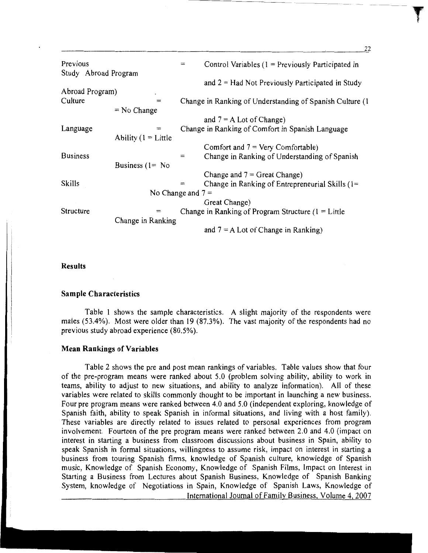| Previous<br>Study Abroad Program |                        | $=$ | Control Variables $(1 =$ Previously Participated in       |
|----------------------------------|------------------------|-----|-----------------------------------------------------------|
|                                  |                        |     | and $2 = Had$ Not Previously Participated in Study        |
| Abroad Program)                  |                        |     |                                                           |
| Culture                          | $=$                    |     | Change in Ranking of Understanding of Spanish Culture (1) |
|                                  | $=$ No Change          |     |                                                           |
|                                  |                        |     | and $7 = A$ Lot of Change)                                |
| Language                         | ≕                      |     | Change in Ranking of Comfort in Spanish Language          |
|                                  | Ability $(1 = L$ ittle |     |                                                           |
|                                  |                        |     | Comfort and $7 = \text{Very Comfortable}$ )               |
| <b>Business</b>                  |                        | $=$ | Change in Ranking of Understanding of Spanish             |
|                                  | Business $(1 = No)$    |     |                                                           |
|                                  |                        |     | Change and $7 =$ Great Change)                            |
| Skills                           |                        | $=$ | Change in Ranking of Entrepreneurial Skills $(1 =$        |
| No Change and $7 =$              |                        |     |                                                           |
|                                  |                        |     | Great Change)                                             |
| Structure                        |                        |     | Change in Ranking of Program Structure $(1 = L$ ittle     |
|                                  | Change in Ranking      |     |                                                           |
|                                  |                        |     | and $7 = A$ Lot of Change in Ranking)                     |

-----------------

22

#### **Results**

#### **Sample Characteristics**

Table 1 shows the sample characteristics. A slight majority of the respondents were males (53.4%). Most were older than 19 (87.3%). The vast majority of the respondents had no previous study abroad experience (80.5%).

## **Mean Rankings of Variables**

Table 2 shows the pre and post mean rankings of variables. Table values show that four of the pre-program means were ranked about 5.0 (problem solving ability, ability to work in teams, ability to adjust to new situations, and ability to analyze information). All of these variables were related to skills commonly thought to be important in launching a new business. Four pre program means were ranked between 4.0 and 5.0 (independent exploring, knowledge of Spanish faith, ability to speak Spanish in informal situations, and living with a host family). These variables are directly related to issues related to personal experiences from program involvement. Fourteen of the pre program means were ranked between 2.0 and 4.0 (impact on interest in starting a business from classroom discussions about business in Spain, ability to speak Spanish in formal situations, willingness to assume risk, impact on interest in starting a business from touring Spanish firms, knowledge of Spanish culture, knowledge of Spanish music, Knowledge of Spanish Economy, Knowledge of Spanish Films, Impact on Interest in Starting a Business from Lectures about Spanish Business, Knowledge of Spanish Banking System, knowledge of Negotiations in Spain, Knowledge of Spanish Laws, Knowledge of International Journal of Family Business, Volume 4, 2007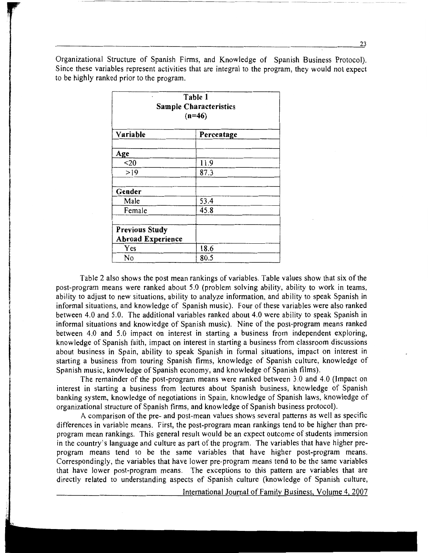Organizational Structure of Spanish Firms, and Knowledge of Spanish Business Protocol). Since these variables represent activities that are integral to the program, they would not expect to be highly ranked prior to the program.

------------------------ ~~-----~--

| Table 1<br><b>Sample Characteristics</b><br>$(n=46)$ |            |  |  |  |
|------------------------------------------------------|------------|--|--|--|
| Variable                                             | Percentage |  |  |  |
| Age                                                  |            |  |  |  |
| $20$                                                 | 11.9       |  |  |  |
| >19                                                  | 87.3       |  |  |  |
| Gender                                               |            |  |  |  |
| Male                                                 | 53.4       |  |  |  |
| Female                                               | 45.8       |  |  |  |
| <b>Previous Study</b><br><b>Abroad Experience</b>    |            |  |  |  |
| Yes                                                  | 18.6       |  |  |  |
| No                                                   | 80.5       |  |  |  |

Table 2 also shows the post mean rankings of variables. Table values show that six of the post-program means were ranked about 5.0 (problem solving ability, ability to work in teams, ability to adjust to new situations, ability to analyze information, and ability to speak Spanish in informal situations, and knowledge of Spanish music). Four of these variables were also ranked between 4.0 and 5.0. The additional variables ranked about 4.0 were ability to speak Spanish in informal situations and knowledge of Spanish music). Nine of the post-program means ranked between 4.0 and 5.0 impact on interest in starting a business from independent exploring, knowledge of Spanish faith, impact on interest in starting a business from classroom discussions about business in Spain, ability to speak Spanish in formal situations, impact on interest in starting a business from touring Spanish firms, knowledge of Spanish culture, knowledge of Spanish music, knowledge of Spanish economy, and knowledge of Spanish films).

The remainder of the post-program means were ranked between 3.0 and 4.0 (Impact on interest in starting a business from lectures about Spanish business, knowledge of Spanish banking system, knowledge of negotiations in Spain, knowledge of Spanish laws, knowledge of organizational structure of Spanish firms, and knowledge of Spanish business protocol).

A comparison of the pre- and post-mean values shows several patterns as well as specific differences in variable means. First, the post-program mean rankings tend to be higher than preprogram mean rankings. This general result would be an expect outcome of students immersion in the country's language and culture as part of the program. The variables that have higher preprogram means tend to be the same variables that have higher post-program means. Correspondingly, the variables that have lower pre-program means tend to be the same variables that have lower post-program means. The exceptions to this pattern are variables that are directly related to understanding aspects of Spanish culture (knowledge of Spanish culture,

International Journal of Family Business, Volume 4, 2007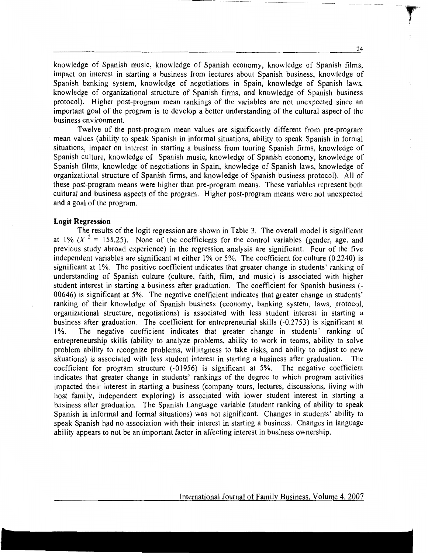knowledge of Spanish music, knowledge of Spanish economy, knowledge of Spanish films, impact on interest in starting a business from lectures about Spanish business, knowledge of Spanish banking system, knowledge of negotiations in Spain, knowledge of Spanish laws, knowledge of organizational structure of Spanish firms, and knowledge of Spanish business protocol). Higher post-program mean rankings of the variables are not unexpected since an important goal of the program is to develop a better understanding of the cultural aspect of the business environment.

-----------~-~---------

Twelve of the post-program mean values are significantly different from pre-program mean values (ability to speak Spanish in informal situations, ability to speak Spanish in formal situations, impact on interest in starting a business from touring Spanish firms, knowledge of Spanish culture, knowledge of Spanish music, knowledge of Spanish economy, knowledge of Spanish films, knowledge of negotiations in Spain, knowledge of Spanish laws, knowledge of organizational structure of Spanish firms, and knowledge of Spanish business protocol). All of these post-program means were higher than pre-program means. These variables represent both cultural and business aspects of the program. Higher post-program means were not unexpected and a goal of the program.

#### **Logit Regression**

The results of the logit regression are shown in Table 3. The overall model is significant at 1% ( $X^2 = 158.25$ ). None of the coefficients for the control variables (gender, age, and previous study abroad experience) in the regression analysis are significant. Four of the five independent variables are significant at either 1% or 5%. The coefficient for culture (0.2240) is significant at I%. The positive coefficient indicates that greater change in students' ranking of understanding of Spanish culture (culture, faith, film, and music) is associated with higher student interest in starting a business after graduation. The coefficient for Spanish business (- 00646) is significant at 5%. The negative coefficient indicates that greater change in students' ranking of their knowledge of Spanish business (economy, banking system, laws, protocol, organizational structure, negotiations) is associated with less student interest in starting a business after graduation. The coefficient for entrepreneurial skills (-0.2753) is significant at 1%. The negative coefficient indicates that greater change in students' ranking of entrepreneurship skills (ability to analyze problems, ability to work in teams, ability to solve problem ability to recognize problems, willingness to take risks, and ability to adjust to new situations) is associated with less student interest in starting a business after graduation. The coefficient for program structure (-01956) is significant at 5%. The negative coefficient indicates that greater change in students' rankings of the degree to which program activities impacted their interest in starting a business (company tours, lectures, discussions, living with host family, independent exploring) is associated with lower student interest in starting a business after graduation. The Spanish Language variable (student ranking of ability to speak Spanish in informal and formal situations) was not significant. Changes in students' ability to speak Spanish had no association with their interest in starting a business. Changes in language ability appears to not be an important factor in affecting interest in business ownership.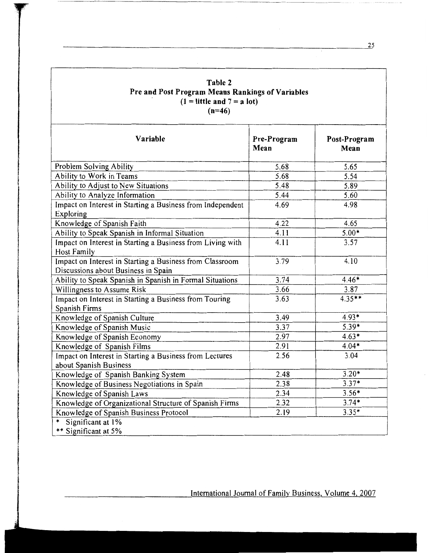| Table 2                                                 |  |  |  |  |
|---------------------------------------------------------|--|--|--|--|
| <b>Pre and Post Program Means Rankings of Variables</b> |  |  |  |  |
| $(1 =$ little and $7 = a$ lot)                          |  |  |  |  |
| $(n=46)$                                                |  |  |  |  |

 $\sim$ 

| Variable                                                                                        | Pre-Program<br>Mean | Post-Program<br>Mean |
|-------------------------------------------------------------------------------------------------|---------------------|----------------------|
| Problem Solving Ability                                                                         | 5.68                | 5.65                 |
| Ability to Work in Teams                                                                        | 5.68                | 5.54                 |
| Ability to Adjust to New Situations                                                             | 5.48                | 5.89                 |
| Ability to Analyze Information                                                                  | 5.44                | 5.60                 |
| Impact on Interest in Starting a Business from Independent<br>Exploring                         | 4.69                | 4.98                 |
| Knowledge of Spanish Faith                                                                      | 4.22                | 4.65                 |
| Ability to Speak Spanish in Informal Situation                                                  | 4.11                | $5.00*$              |
| Impact on Interest in Starting a Business from Living with<br>Host Family                       | 4.11                | 3.57                 |
| Impact on Interest in Starting a Business from Classroom<br>Discussions about Business in Spain | 3.79                | 4.10                 |
| Ability to Speak Spanish in Spanish in Formal Situations                                        | 3.74                | $4.46*$              |
| Willingness to Assume Risk                                                                      | 3.66                | 3.87                 |
| Impact on Interest in Starting a Business from Touring<br>Spanish Firms                         | 3.63                | $4.35**$             |
| Knowledge of Spanish Culture                                                                    | 3.49                | $4.93*$              |
| Knowledge of Spanish Music                                                                      | 3.37                | $5.39*$              |
| Knowledge of Spanish Economy                                                                    | 2.97                | $4.63*$              |
| Knowledge of Spanish Films                                                                      | 2.91                | $4.04*$              |
| Impact on Interest in Starting a Business from Lectures<br>about Spanish Business               | 2.56                | 3.04                 |
| Knowledge of Spanish Banking System                                                             | 2.48                | $3.20*$              |
| Knowledge of Business Negotiations in Spain                                                     | 2.38                | $3.37*$              |
| Knowledge of Spanish Laws                                                                       | 2.34                | $3.56*$              |
| Knowledge of Organizational Structure of Spanish Firms                                          | 2.32                | $3.74*$              |
| Knowledge of Spanish Business Protocol                                                          | 2.19                | $3.35*$              |
| ∗<br>Significant at 1%<br>** Significant at 5%                                                  |                     |                      |

International Journal of Family Business, Volume 4, 2007

25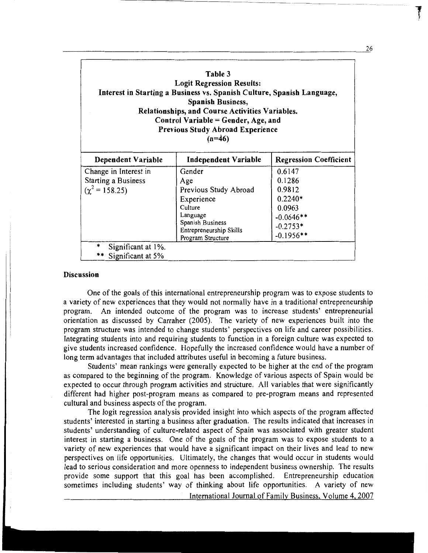| Table 3<br><b>Logit Regression Results:</b><br>Interest in Starting a Business vs. Spanish Culture, Spanish Language,<br><b>Spanish Business,</b><br>Relationships, and Course Activities Variables.<br>Control Variable = Gender, Age, and<br><b>Previous Study Abroad Experience</b><br>$(n=46)$ |                                                                                                                                                 |                                                                                               |  |  |  |  |  |
|----------------------------------------------------------------------------------------------------------------------------------------------------------------------------------------------------------------------------------------------------------------------------------------------------|-------------------------------------------------------------------------------------------------------------------------------------------------|-----------------------------------------------------------------------------------------------|--|--|--|--|--|
| Dependent Variable                                                                                                                                                                                                                                                                                 | Independent Variable                                                                                                                            | <b>Regression Coefficient</b>                                                                 |  |  |  |  |  |
| Change in Interest in<br><b>Starting a Business</b><br>$(\chi^2 = 158.25)$                                                                                                                                                                                                                         | Gender<br>Age<br>Previous Study Abroad<br>Experience<br>Culture<br>Language<br>Spanish Business<br>Entrepreneurship Skills<br>Program Structure | 0.6147<br>0.1286<br>0.9812<br>$0.2240*$<br>0.0963<br>$-0.0646**$<br>$-0.2753*$<br>$-0.1956**$ |  |  |  |  |  |
| Significant at 1%.<br>** Significant at 5%                                                                                                                                                                                                                                                         |                                                                                                                                                 |                                                                                               |  |  |  |  |  |

 $--\frac{1}{2}$  . The contract of the contract of the contract of the contract of the contract of the contract of the contract of the contract of the contract of the contract of the contract of the contract of the contract of

## Discussion

One of the goals of this international entrepreneurship program was to expose students to a variety of new experiences that they would not normally have in a traditional entrepreneurship program. An intended outcome of the program was to increase students' entrepreneurial orientation as discussed by Carraher (2005). The variety of new experiences built into the program structure was intended to change students' perspectives on life and career possibilities. Integrating students into and requiring students to function in a foreign culture was expected to give students increased confidence. Hopefully the increased confidence would have a number of long term advantages that included attributes useful in becoming a future business.

Students' mean rankings were generally expected to be higher at the end of the program as compared to the beginning of the program. Knowledge of various aspects of Spain would be expected to occur through program activities and structure. All variables that were significantly different had higher post-program means as compared to pre-program means and represented cultural and business aspects of the program.

The logit regression analysis provided insight into which aspects of the program affected students' interested in starting a business after graduation. The results indicated that increases in students' understanding of culture-related aspect of Spain was associated with greater student interest in starting a business. One of the goals of the program was to expose students to a variety of new experiences that would have a significant impact on their lives and lead to new perspectives on life opportunities. Ultimately, the changes that would occur in students would lead to serious consideration and more openness to independent business ownership. The results provide some support that this goal has been accomplished. Entrepreneurship education sometimes including students' way of thinking about life opportunities. A variety of new

International Journal of Family Business, Volume 4, 2007

26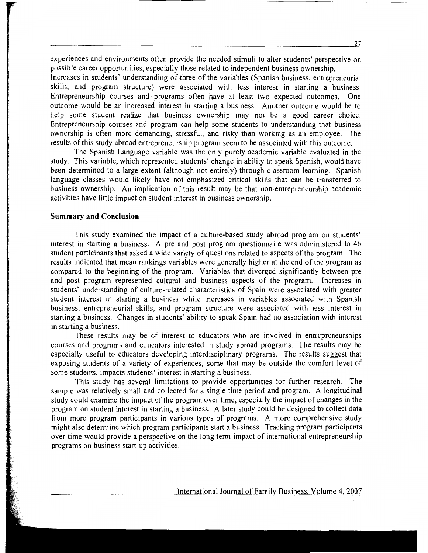experiences and environments often provide the needed stimuli to alter students' perspective on possible career opportunities, especially those related to independent business ownership.

------------------------- ·----- ---·----

Increases in students' understanding of three of the variables (Spanish business, entrepreneurial skills, and program structure) were associated with less interest in starting a business. Entrepreneurship courses and· programs often have at least two expected outcomes. One outcome would be an increased interest in starting a business. Another outcome would be to help some student realize that business ownership may not be a good career choice. Entrepreneurship courses and program can help some students to understanding that business ownership is often more demanding, stressful, and risky than working as an employee. The results of this study abroad entrepreneurship program seem to be associated with this outcome.

The Spanish Language variable was the only purely academic variable evaluated in the study. This variable, which represented students' change in ability to speak Spanish, would have been determined to a large extent (although not entirely) through classroom learning. Spanish language classes would likely have not emphasized critical skills that can be transferred to business ownership. An implication of this result may be that non-entrepreneurship academic activities have little impact on student interest in business ownership.

#### **Summary and Conclusion**

This study examined the impact of a culture-based study abroad program on students' interest in starting a business. A pre and post program questionnaire was administered to 46 student participants that asked a wide variety of questions related to aspects of the program. The results indicated that mean rankings variables were generally higher at the end of the program as compared to the beginning of the program. Variables that diverged significantly between pre and post program represented cultural and business aspects of the program. Increases in students' understanding of culture-related characteristics of Spain were associated with greater student interest in starting a business while increases in variables associated with Spanish business, entrepreneurial skills, and program structure were associated with less interest in starting a business. Changes in students' ability to speak Spain had no association with interest in starting a business.

These results may be of interest to educators who are involved in entrepreneurships courses and programs and educators interested in study abroad programs. The results may be especially useful to educators developing interdisciplinary programs. The results suggest that exposing students of a variety of experiences, some that may be outside the comfort level of some students, impacts students' interest in starting a business.

This study has several limitations to provide opportunities for further research. The sample was relatively small and collected for a single time period and program. A longitudinal study could examine the impact of the program over time, especially the impact of changes in the program on student interest in starting a business. A later study could be designed to collect data from more program participants in various types of programs. A more comprehensive study might also determine which program participants start a business. Tracking program participants over time would provide a perspective on the long term impact of international entrepreneurship programs on business start-up activities.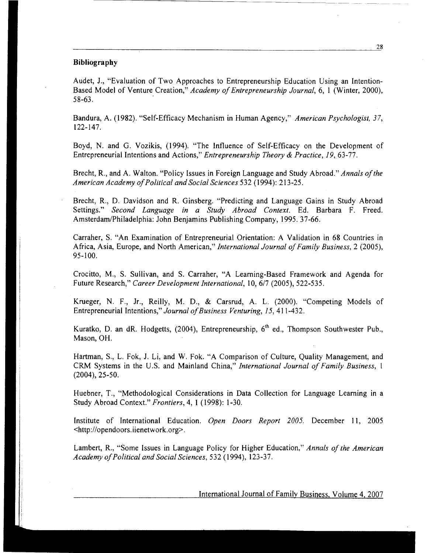#### **Bibliography**

Audet, J., "Evaluation of Two Approaches to Entrepreneurship Education Using an Intention-Based Model of Venture Creation," *Academy of Entrepreneurship Journal,* 6, 1 (Winter, 2000), 58-63. .

Bandura, A. (1982). "Self-Efficacy Mechanism in Human Agency," *American Psychologist, 37,*  122-147.

Boyd, N. and G. Vozikis, (1994). "The Influence of Self-Efficacy on the Development of Entrepreneurial Intentions and Actions," *Entrepreneurship Theory* & *Practice, 19,* 63-77.

Brecht, R., and A. Walton. "Policy Issues in Foreign Language and Study Abroad." *Annals of the American Academy of Political and Social Sciences* 532 (1994): 213-25.

Brecht, R., D. Davidson and R. Ginsberg. "Predicting and Language Gains in Study Abroad Settings." *Second Language in a Study Abroad Context.* Ed. Barbara F. Freed. Amsterdam/Philadelphia: John Benjamins Publishing Company, 1995. 37-66.

Carraher, S. "An Examination of Entrepreneurial Orientation: A Validation in 68 Countries in Africa, Asia, Europe, and North American," *International Journal of Family Business,* 2 (2005), 95-100.

Crocitto, M., S. Sullivan, and S. Carraher, "A Learning-Based Framework and Agenda for Future Research," *Career Development International,* 10, *617* (2005), 522-535.

Krueger, N. F., Jr., Reilly, M. D., & Carsrud, A. L. (2000). "Competing Models of Entrepreneurial Intentions," *Journal of Business Venturing, 15,* 411-432.

Kuratko, D. an dR. Hodgetts,  $(2004)$ , Entrepreneurship,  $6<sup>th</sup>$  ed., Thompson Southwester Pub., Mason, OH.

Hartman, S., L. Fok, J. Li, and W. Fok. "A Comparison of Culture, Quality Management, and CRM Systems in the U.S. and Mainland China," *International Journal of Family Business,* 1 (2004), 25-50.

Huebner, T., "Methodological Considerations in Data Collection for Language Learning in a Study Abroad Context." *Frontiers,* 4, 1 (1998): 1-30.

Institute of International Education. *Open Doors Report 2005.* December 11, 2005 <http://opendoors. iienetwork.org>.

Lambert, R., "Some Issues in Language Policy for Higher Education,'' *Annals of the American Academy of Political and Social Sciences,* 532 (1994), 123-37.